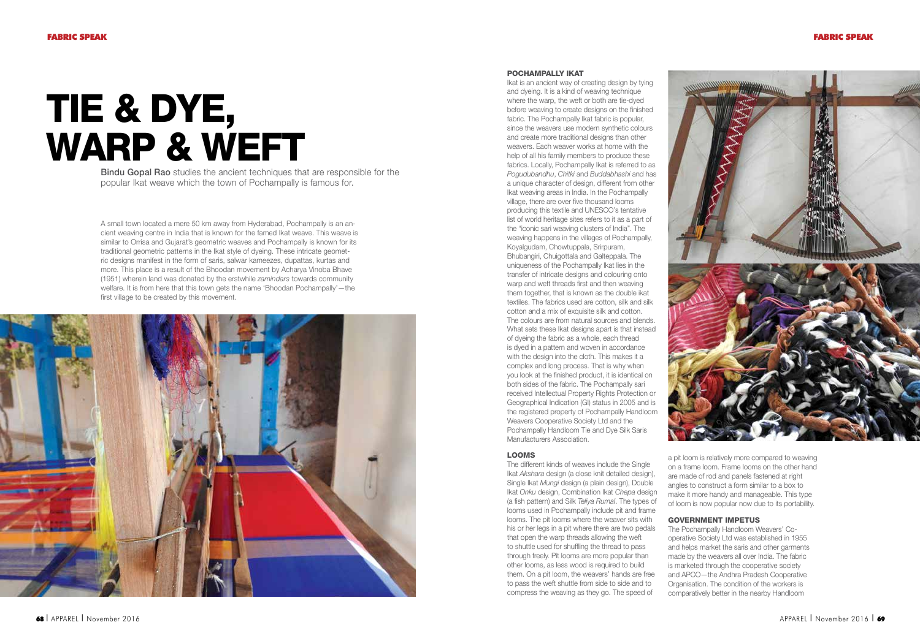# Tie & Dye, WARP & WEFT

Bindu Gopal Rao studies the ancient techniques that are responsible for the popular Ikat weave which the town of Pochampally is famous for.

A small town located a mere 50 km away from Hyderabad, Pochampally is an ancient weaving centre in India that is known for the famed Ikat weave. This weave is similar to Orrisa and Gujarat's geometric weaves and Pochampally is known for its traditional geometric patterns in the Ikat style of dyeing. These intricate geometric designs manifest in the form of saris, salwar kameezes, dupattas, kurtas and more. This place is a result of the Bhoodan movement by Acharya Vinoba Bhave (1951) wherein land was donated by the erstwhile zamindars towards community welfare. It is from here that this town gets the name 'Bhoodan Pochampally'—the first village to be created by this movement.



### Pochampally Ikat

Ikat is an ancient way of creating design by tying and dyeing. It is a kind of weaving technique where the warp, the weft or both are tie-dyed before weaving to create designs on the finished fabric. The Pochampally Ikat fabric is popular, since the weavers use modern synthetic colours and create more traditional designs than other weavers. Each weaver works at home with the help of all his family members to produce these fabrics. Locally, Pochampally Ikat is referred to as Pogudubandhu, Chitki and Buddabhashi and has a unique character of design, different from other Ikat weaving areas in India. In the Pochampally village, there are over five thousand looms producing this textile and UNESCO's tentative list of world heritage sites refers to it as a part of the "iconic sari weaving clusters of India". The weaving happens in the villages of Pochampally, Koyalgudam, Chowtuppala, Srirpuram, Bhubangiri, Chuigottala and Galteppala. The uniqueness of the Pochampally Ikat lies in the transfer of intricate designs and colouring onto warp and weft threads first and then weaving them together, that is known as the double ikat textiles. The fabrics used are cotton, silk and silk cotton and a mix of exquisite silk and cotton. The colours are from natural sources and blends. What sets these Ikat designs apart is that instead of dyeing the fabric as a whole, each thread is dyed in a pattern and woven in accordance with the design into the cloth. This makes it a complex and long process. That is why when you look at the finished product, it is identical on both sides of the fabric. The Pochampally sari received Intellectual Property Rights Protection or Geographical Indication (GI) status in 2005 and is the registered property of Pochampally Handloom Weavers Cooperative Society Ltd and the Pochampally Handloom Tie and Dye Silk Saris Manufacturers Association.

### Looms

The different kinds of weaves include the Single Ikat Akshara design (a close knit detailed design), Single Ikat Mungi design (a plain design), Double Ikat Onku design, Combination Ikat Chepa design (a fish pattern) and Silk Teliya Rumal. The types of looms used in Pochampally include pit and frame looms. The pit looms where the weaver sits with his or her legs in a pit where there are two pedals that open the warp threads allowing the weft to shuttle used for shuffling the thread to pass through freely. Pit looms are more popular than other looms, as less wood is required to build them. On a pit loom, the weavers' hands are free to pass the weft shuttle from side to side and to compress the weaving as they go. The speed of



a pit loom is relatively more compared to weaving on a frame loom. Frame looms on the other hand are made of rod and panels fastened at right angles to construct a form similar to a box to make it more handy and manageable. This type of loom is now popular now due to its portability.

# Government Impetus

The Pochampally Handloom Weavers' Cooperative Society Ltd was established in 1955 and helps market the saris and other garments made by the weavers all over India. The fabric is marketed through the cooperative society and APCO—the Andhra Pradesh Cooperative Organisation. The condition of the workers is comparatively better in the nearby Handloom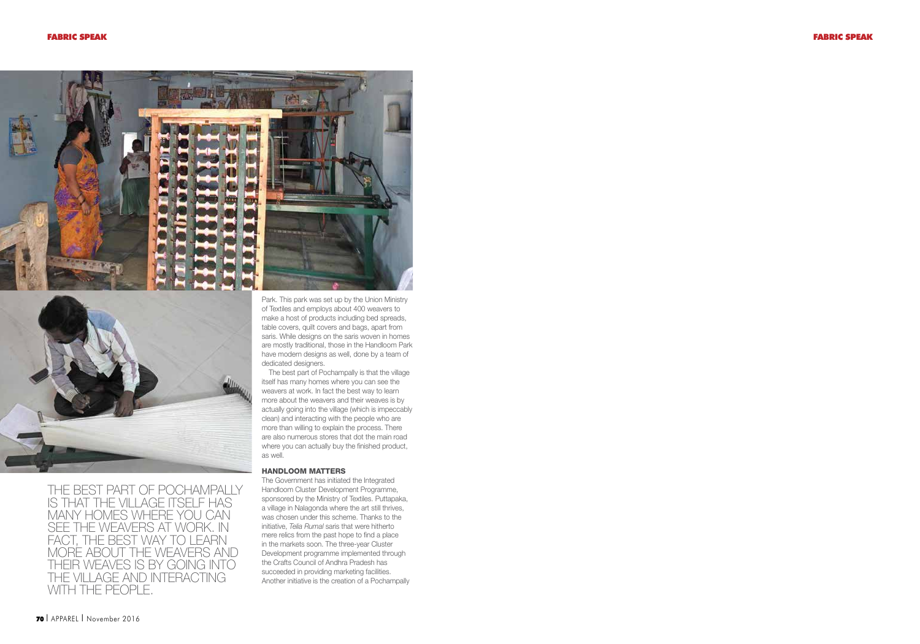



THE BEST PART OF POCHAMPALLY IS THAT THE VILLAGE ITSELF HAS MANY HOMES WHERE YOU CAN SEE THE WEAVERS AT WORK. IN FACT, THE BEST WAY TO LEARN MORE ABOUT THE WEAVERS AND THEIR WEAVES IS BY going INTO THE VILLAGE AND INTERACTING WITH THE PEOPLE.

Park. This park was set up by the Union Ministry of Textiles and employs about 400 weavers to make a host of products including bed spreads, table covers, quilt covers and bags, apart from saris. While designs on the saris woven in homes are mostly traditional, those in the Handloom Park have modern designs as well, done by a team of dedicated designers.

The best part of Pochampally is that the village itself has many homes where you can see the weavers at work. In fact the best way to learn more about the weavers and their weaves is by actually going into the village (which is impeccably clean) and interacting with the people who are more than willing to explain the process. There are also numerous stores that dot the main road where you can actually buy the finished product, as well.

## Handloom Matters

The Government has initiated the Integrated Handloom Cluster Development Programme, sponsored by the Ministry of Textiles. Puttapaka, a village in Nalagonda where the art still thrives, was chosen under this scheme. Thanks to the initiative, Telia Rumal saris that were hitherto mere relics from the past hope to find a place in the markets soon. The three-year Cluster Development programme implemented through the Crafts Council of Andhra Pradesh has succeeded in providing marketing facilities. Another initiative is the creation of a Pochampally